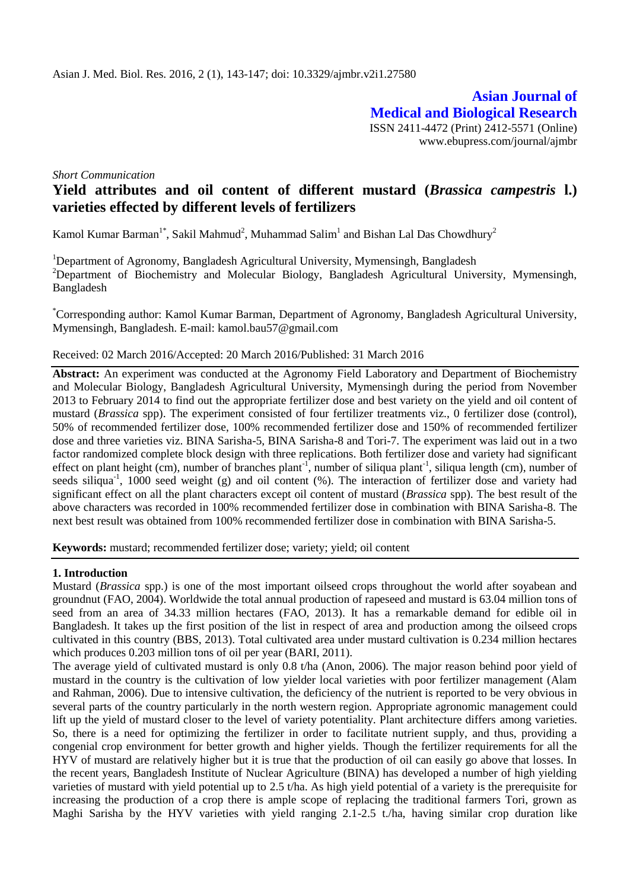**Asian Journal of Medical and Biological Research** ISSN 2411-4472 (Print) 2412-5571 (Online) www.ebupress.com/journal/ajmbr

*Short Communication* 

# **Yield attributes and oil content of different mustard (***Brassica campestris* **l.) varieties effected by different levels of fertilizers**

Kamol Kumar Barman<sup>1\*</sup>, Sakil Mahmud<sup>2</sup>, Muhammad Salim<sup>1</sup> and Bishan Lal Das Chowdhury<sup>2</sup>

<sup>1</sup>Department of Agronomy, Bangladesh Agricultural University, Mymensingh, Bangladesh <sup>2</sup>Department of Biochemistry and Molecular Biology, Bangladesh Agricultural University, Mymensingh, Bangladesh

\*Corresponding author: Kamol Kumar Barman, Department of Agronomy, Bangladesh Agricultural University, Mymensingh, Bangladesh. E-mail: [kamol.bau57@gmail.com](mailto:kamol.bau57@gmail.com)

### Received: 02 March 2016/Accepted: 20 March 2016/Published: 31 March 2016

**Abstract:** An experiment was conducted at the Agronomy Field Laboratory and Department of Biochemistry and Molecular Biology, Bangladesh Agricultural University, Mymensingh during the period from November 2013 to February 2014 to find out the appropriate fertilizer dose and best variety on the yield and oil content of mustard (*Brassica* spp). The experiment consisted of four fertilizer treatments viz., 0 fertilizer dose (control), 50% of recommended fertilizer dose, 100% recommended fertilizer dose and 150% of recommended fertilizer dose and three varieties viz. BINA Sarisha-5, BINA Sarisha-8 and Tori-7. The experiment was laid out in a two factor randomized complete block design with three replications. Both fertilizer dose and variety had significant effect on plant height (cm), number of branches plant<sup>-1</sup>, number of siliqua plant<sup>-1</sup>, siliqua length (cm), number of seeds siliqua<sup>-1</sup>, 1000 seed weight (g) and oil content (%). The interaction of fertilizer dose and variety had significant effect on all the plant characters except oil content of mustard (*Brassica* spp). The best result of the above characters was recorded in 100% recommended fertilizer dose in combination with BINA Sarisha-8. The next best result was obtained from 100% recommended fertilizer dose in combination with BINA Sarisha-5.

**Keywords:** mustard; recommended fertilizer dose; variety; yield; oil content

### **1. Introduction**

Mustard (*Brassica* spp.) is one of the most important oilseed crops throughout the world after soyabean and groundnut (FAO, 2004). Worldwide the total annual production of rapeseed and mustard is 63.04 million tons of seed from an area of 34.33 million hectares (FAO, 2013). It has a remarkable demand for edible oil in Bangladesh. It takes up the first position of the list in respect of area and production among the oilseed crops cultivated in this country (BBS, 2013). Total cultivated area under mustard cultivation is 0.234 million hectares which produces 0.203 million tons of oil per year (BARI, 2011).

The average yield of cultivated mustard is only 0.8 t/ha (Anon, 2006). The major reason behind poor yield of mustard in the country is the cultivation of low yielder local varieties with poor fertilizer management (Alam and Rahman, 2006). Due to intensive cultivation, the deficiency of the nutrient is reported to be very obvious in several parts of the country particularly in the north western region. Appropriate agronomic management could lift up the yield of mustard closer to the level of variety potentiality. Plant architecture differs among varieties. So, there is a need for optimizing the fertilizer in order to facilitate nutrient supply, and thus, providing a congenial crop environment for better growth and higher yields. Though the fertilizer requirements for all the HYV of mustard are relatively higher but it is true that the production of oil can easily go above that losses. In the recent years, Bangladesh Institute of Nuclear Agriculture (BINA) has developed a number of high yielding varieties of mustard with yield potential up to 2.5 t/ha. As high yield potential of a variety is the prerequisite for increasing the production of a crop there is ample scope of replacing the traditional farmers Tori, grown as Maghi Sarisha by the HYV varieties with yield ranging 2.1-2.5 t./ha, having similar crop duration like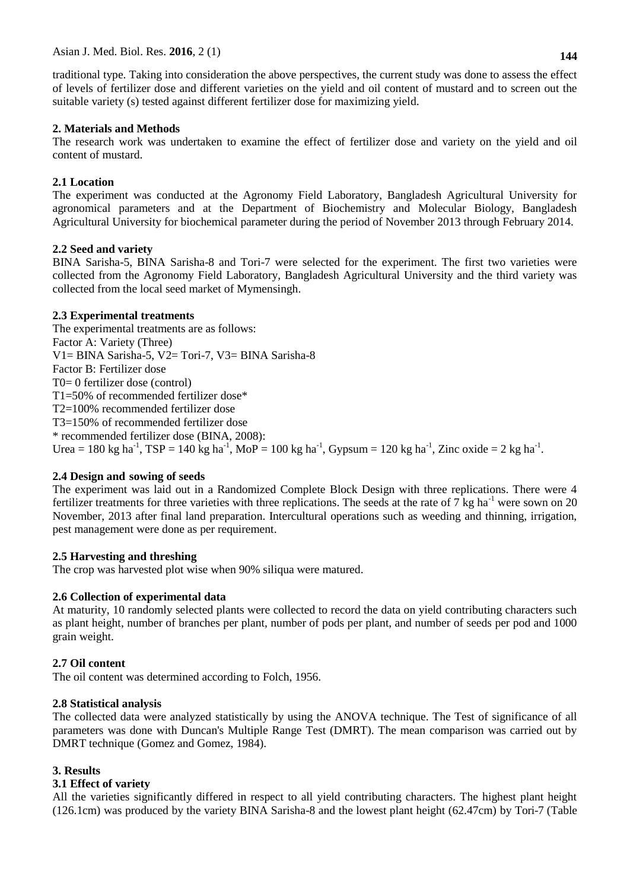traditional type. Taking into consideration the above perspectives, the current study was done to assess the effect of levels of fertilizer dose and different varieties on the yield and oil content of mustard and to screen out the suitable variety (s) tested against different fertilizer dose for maximizing yield.

### **2. Materials and Methods**

The research work was undertaken to examine the effect of fertilizer dose and variety on the yield and oil content of mustard.

# **2.1 Location**

The experiment was conducted at the Agronomy Field Laboratory, Bangladesh Agricultural University for agronomical parameters and at the Department of Biochemistry and Molecular Biology, Bangladesh Agricultural University for biochemical parameter during the period of November 2013 through February 2014.

### **2.2 Seed and variety**

BINA Sarisha-5, BINA Sarisha-8 and Tori-7 were selected for the experiment. The first two varieties were collected from the Agronomy Field Laboratory, Bangladesh Agricultural University and the third variety was collected from the local seed market of Mymensingh.

# **2.3 Experimental treatments**

The experimental treatments are as follows: Factor A: Variety (Three) V1= BINA Sarisha-5, V2= Tori-7, V3= BINA Sarisha-8 Factor B: Fertilizer dose T0= 0 fertilizer dose (control) T1=50% of recommended fertilizer dose\* T2=100% recommended fertilizer dose T3=150% of recommended fertilizer dose \* recommended fertilizer dose (BINA, 2008): Urea = 180 kg ha<sup>-1</sup>, TSP = 140 kg ha<sup>-1</sup>, MoP = 100 kg ha<sup>-1</sup>, Gypsum = 120 kg ha<sup>-1</sup>, Zinc oxide = 2 kg ha<sup>-1</sup>.

# **2.4 Design and sowing of seeds**

The experiment was laid out in a Randomized Complete Block Design with three replications. There were 4 fertilizer treatments for three varieties with three replications. The seeds at the rate of 7 kg ha<sup>-1</sup> were sown on 20 November, 2013 after final land preparation. Intercultural operations such as weeding and thinning, irrigation, pest management were done as per requirement.

### **2.5 Harvesting and threshing**

The crop was harvested plot wise when 90% siliqua were matured.

# **2.6 Collection of experimental data**

At maturity, 10 randomly selected plants were collected to record the data on yield contributing characters such as plant height, number of branches per plant, number of pods per plant, and number of seeds per pod and 1000 grain weight.

# **2.7 Oil content**

The oil content was determined according to Folch, 1956.

### **2.8 Statistical analysis**

The collected data were analyzed statistically by using the ANOVA technique. The Test of significance of all parameters was done with Duncan's Multiple Range Test (DMRT). The mean comparison was carried out by DMRT technique (Gomez and Gomez, 1984).

# **3. Results**

# **3.1 Effect of variety**

All the varieties significantly differed in respect to all yield contributing characters. The highest plant height (126.1cm) was produced by the variety BINA Sarisha-8 and the lowest plant height (62.47cm) by Tori-7 (Table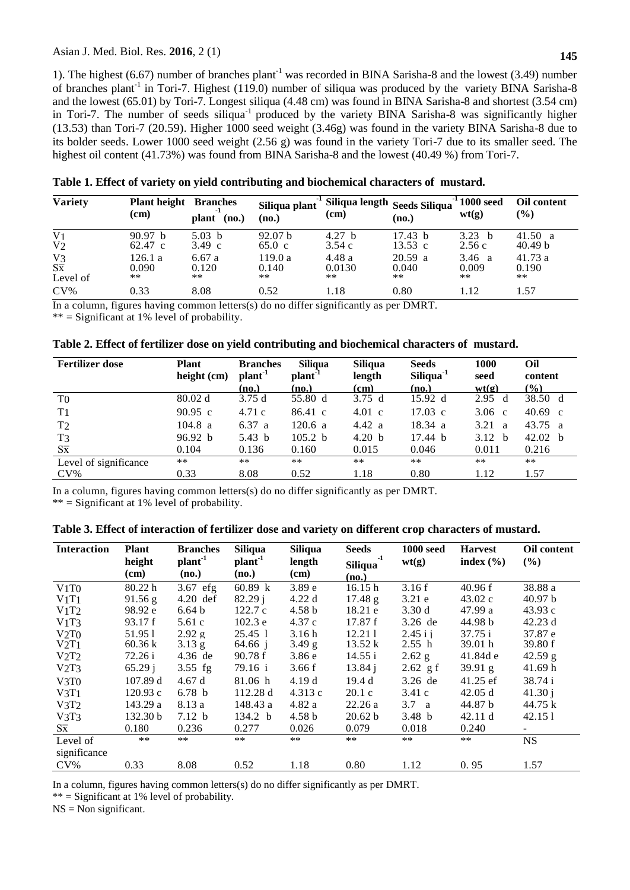### Asian J. Med. Biol. Res. **2016**, 2 (1)

1). The highest (6.67) number of branches plant<sup>-1</sup> was recorded in BINA Sarisha-8 and the lowest (3.49) number of branches plant<sup>-1</sup> in Tori-7. Highest (119.0) number of siliqua was produced by the variety BINA Sarisha-8 and the lowest (65.01) by Tori-7. Longest siliqua (4.48 cm) was found in BINA Sarisha-8 and shortest (3.54 cm) in Tori-7. The number of seeds siliqua<sup>-1</sup> produced by the variety BINA Sarisha-8 was significantly higher (13.53) than Tori-7 (20.59). Higher 1000 seed weight (3.46g) was found in the variety BINA Sarisha-8 due to its bolder seeds. Lower 1000 seed weight (2.56 g) was found in the variety Tori-7 due to its smaller seed. The highest oil content (41.73%) was found from BINA Sarisha-8 and the lowest (40.49 %) from Tori-7.

| <b>Variety</b>                           | <b>Plant height Branches</b><br>(cm) | (no.)<br>plant         | Siliqua plant<br>(no.)       | Siliqua length Seeds Siliqua<br>$(cm)$ | (no.)                        | $1^{1}1000$ seed<br>wt(g) | <b>Oil content</b><br>$(\%)$  |
|------------------------------------------|--------------------------------------|------------------------|------------------------------|----------------------------------------|------------------------------|---------------------------|-------------------------------|
| V <sub>1</sub><br>V <sub>2</sub>         | 90.97 h<br>$62.47 \text{ c}$         | 5.03 h<br>3.49 c       | 92.07 <sub>b</sub><br>65.0 c | 4.27 h<br>3.54c                        | 17.43 h<br>$13.53 \text{ c}$ | 3.23<br>- h<br>2.56c      | 41.50 a<br>40.49 <sub>b</sub> |
| V <sub>3</sub><br>$S\bar{x}$<br>Level of | 126.1a<br>0.090<br>$***$             | 6.67a<br>0.120<br>$**$ | 119.0 a<br>0.140<br>$***$    | 4.48 a<br>0.0130<br>$**$               | $20.59$ a<br>0.040<br>$***$  | 3.46 a<br>0.009<br>$***$  | 41.73a<br>0.190<br>$**$       |
| $CV\%$                                   | 0.33                                 | 8.08                   | 0.52                         | 1.18                                   | 0.80                         | 1.12                      | 1.57                          |

**Table 1. Effect of variety on yield contributing and biochemical characters of mustard.**

In a column, figures having common letters(s) do no differ significantly as per DMRT.

 $**$  = Significant at 1% level of probability.

|  |  |  |  | Table 2. Effect of fertilizer dose on yield contributing and biochemical characters of mustard. |  |  |
|--|--|--|--|-------------------------------------------------------------------------------------------------|--|--|
|--|--|--|--|-------------------------------------------------------------------------------------------------|--|--|

| <b>Fertilizer dose</b> | <b>Plant</b><br>height (cm) | <b>Branches</b><br>plant <sup>1</sup> | <b>Siliqua</b><br>plant <sup>1</sup> | <b>Siliqua</b><br>length | <b>Seeds</b><br>Siliqua <sup>-1</sup> | 1000<br>seed         | Oil<br>content          |
|------------------------|-----------------------------|---------------------------------------|--------------------------------------|--------------------------|---------------------------------------|----------------------|-------------------------|
|                        |                             | (no.)                                 | (no.)                                | (cm)                     | (no.)                                 | wt(g)                | $\frac{6}{2}$           |
| T <sub>0</sub>         | 80.02 d                     | 3.75d                                 | 55.80 d                              | 3.75d                    | 15.92 d                               | 2.95<br>d            | 38.50 d                 |
| T <sub>1</sub>         | $90.95 \text{ c}$           | 4.71c                                 | $86.41 \text{ c}$                    | $4.01\text{ c}$          | $17.03 \text{ c}$                     | $3.06 \text{ c}$     | 40.69 $\,$ c            |
| T <sub>2</sub>         | 104.8 a                     | 6.37 a                                | 120.6 a                              | 4.42 a                   | $18.34 \text{ a}$                     | 3.21<br>$\mathbf{a}$ | 43.75<br>$\overline{a}$ |
| T <sub>3</sub>         | 96.92 b                     | 5.43 b                                | 105.2 <sub>b</sub>                   | 4.20 <sub>b</sub>        | 17.44 h                               | 3.12 <sub>b</sub>    | 42.02 <sub>b</sub>      |
| $S\bar{x}$             | 0.104                       | 0.136                                 | 0.160                                | 0.015                    | 0.046                                 | 0.011                | 0.216                   |
| Level of significance  | $***$                       | **                                    | $***$                                | $***$                    | $***$                                 | $***$                | **                      |
| $CV\%$                 | 0.33                        | 8.08                                  | 0.52                                 | 1.18                     | 0.80                                  | 1.12                 | 1.57                    |

In a column, figures having common letters(s) do no differ significantly as per DMRT.

 $**$  = Significant at 1% level of probability.

| <b>Interaction</b> | <b>Plant</b><br>height<br>(cm) | <b>Branches</b><br>plan <sup>1</sup><br>(no.) | <b>Siliqua</b><br>plant <sup>1</sup><br>(no.) | Siliqua<br>length<br>(cm) | <b>Seeds</b><br>-1<br>Siliqua<br>(no.) | <b>1000 seed</b><br>wt(g) | <b>Harvest</b><br>index $(\% )$ | Oil content<br>(%) |
|--------------------|--------------------------------|-----------------------------------------------|-----------------------------------------------|---------------------------|----------------------------------------|---------------------------|---------------------------------|--------------------|
| V1T0               | 80.22 h                        | $3.67$ efg                                    | 60.89 k                                       | 3.89 <sub>e</sub>         | 16.15h                                 | 3.16f                     | 40.96 f                         | 38.88 a            |
| V1T1               | $91.56$ g                      | 4.20 def                                      | 82.29 i                                       | 4.22d                     | 17.48 g                                | 3.21 e                    | 43.02c                          | 40.97 b            |
| V1T2               | 98.92 e                        | 6.64 <sub>b</sub>                             | 122.7c                                        | 4.58 b                    | 18.21 e                                | 3.30d                     | 47.99 a                         | 43.93c             |
| V1T3               | 93.17 f                        | 5.61c                                         | 102.3 e                                       | 4.37c                     | 17.87 f                                | 3.26 de                   | 44.98 b                         | 42.23 d            |
| V2T0               | 51.951                         | $2.92 \text{ g}$                              | 25.45 1                                       | 3.16h                     | 12.211                                 | $2.45$ i i                | 37.75 i                         | 37.87 e            |
| V2T1               | 60.36 k                        | $3.13$ g                                      | 64.66 $\frac{1}{2}$                           | $3.49$ g                  | 13.52 k                                | 2.55 h                    | 39.01 h                         | 39.80 f            |
| V2T2               | 72.26 i                        | 4.36 de                                       | 90.78 f                                       | 3.86 e                    | 14.55 i                                | $2.62$ g                  | 41.84d e                        | $42.59$ g          |
| V2T3               | 65.29j                         | $3.55$ fg                                     | 79.16 i                                       | 3.66f                     | 13.84j                                 | $2.62$ g f                | 39.91 g                         | 41.69 h            |
| V3T0               | 107.89 d                       | 4.67d                                         | 81.06 h                                       | 4.19d                     | 19.4d                                  | $3.26$ de                 | $41.25$ ef                      | 38.74 i            |
| V3T1               | 120.93c                        | 6.78 <sub>b</sub>                             | 112.28 d                                      | 4.313c                    | 20.1c                                  | 3.41c                     | 42.05 d                         | 41.30j             |
| V3T2               | 143.29 a                       | 8.13 a                                        | 148.43 a                                      | 4.82 a                    | 22.26a                                 | $3.7 \text{ a}$           | 44.87 b                         | 44.75 k            |
| V3T3               | 132.30 b                       | 7.12 <sub>b</sub>                             | 134.2 b                                       | 4.58 b                    | 20.62 b                                | 3.48 <sub>b</sub>         | 42.11 d                         | 42.151             |
| $S\overline{x}$    | 0.180                          | 0.236                                         | 0.277                                         | 0.026                     | 0.079                                  | 0.018                     | 0.240                           | $\blacksquare$     |
| Level of           | $***$                          | $***$                                         | $***$                                         | $***$                     | $***$                                  | $***$                     | $**$                            | <b>NS</b>          |
| significance       |                                |                                               |                                               |                           |                                        |                           |                                 |                    |
| $CV\%$             | 0.33                           | 8.08                                          | 0.52                                          | 1.18                      | 0.80                                   | 1.12                      | 0.95                            | 1.57               |

In a column, figures having common letters(s) do no differ significantly as per DMRT.

 $**$  = Significant at 1% level of probability.

 $NS = Non significant.$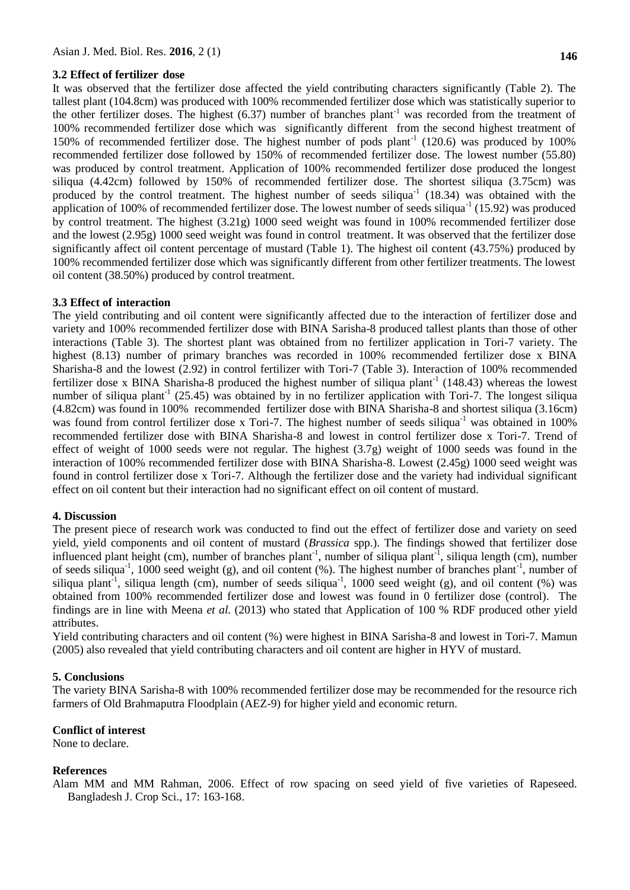#### **3.2 Effect of fertilizer dose**

It was observed that the fertilizer dose affected the yield contributing characters significantly (Table 2). The tallest plant (104.8cm) was produced with 100% recommended fertilizer dose which was statistically superior to the other fertilizer doses. The highest  $(6.37)$  number of branches plant<sup>-1</sup> was recorded from the treatment of 100% recommended fertilizer dose which was significantly different from the second highest treatment of 150% of recommended fertilizer dose. The highest number of pods  $plant^{-1}$  (120.6) was produced by 100% recommended fertilizer dose followed by 150% of recommended fertilizer dose. The lowest number (55.80) was produced by control treatment. Application of 100% recommended fertilizer dose produced the longest siliqua (4.42cm) followed by 150% of recommended fertilizer dose. The shortest siliqua (3.75cm) was produced by the control treatment. The highest number of seeds siliqua<sup>-1</sup> (18.34) was obtained with the application of 100% of recommended fertilizer dose. The lowest number of seeds siliqua<sup>-1</sup> (15.92) was produced by control treatment. The highest (3.21g) 1000 seed weight was found in 100% recommended fertilizer dose and the lowest (2.95g) 1000 seed weight was found in control treatment. It was observed that the fertilizer dose significantly affect oil content percentage of mustard (Table 1). The highest oil content (43.75%) produced by 100% recommended fertilizer dose which was significantly different from other fertilizer treatments. The lowest oil content (38.50%) produced by control treatment.

#### **3.3 Effect of interaction**

The yield contributing and oil content were significantly affected due to the interaction of fertilizer dose and variety and 100% recommended fertilizer dose with BINA Sarisha-8 produced tallest plants than those of other interactions (Table 3). The shortest plant was obtained from no fertilizer application in Tori-7 variety. The highest (8.13) number of primary branches was recorded in 100% recommended fertilizer dose x BINA Sharisha-8 and the lowest (2.92) in control fertilizer with Tori-7 (Table 3). Interaction of 100% recommended fertilizer dose x BINA Sharisha-8 produced the highest number of siliqua plant<sup>-1</sup> (148.43) whereas the lowest number of siliqua plant<sup>-1</sup> (25.45) was obtained by in no fertilizer application with Tori-7. The longest siliqua (4.82cm) was found in 100% recommended fertilizer dose with BINA Sharisha-8 and shortest siliqua (3.16cm) was found from control fertilizer dose x Tori-7. The highest number of seeds siliqua<sup>-1</sup> was obtained in  $100\%$ recommended fertilizer dose with BINA Sharisha-8 and lowest in control fertilizer dose x Tori-7. Trend of effect of weight of 1000 seeds were not regular. The highest (3.7g) weight of 1000 seeds was found in the interaction of 100% recommended fertilizer dose with BINA Sharisha-8. Lowest (2.45g) 1000 seed weight was found in control fertilizer dose x Tori-7. Although the fertilizer dose and the variety had individual significant effect on oil content but their interaction had no significant effect on oil content of mustard.

#### **4. Discussion**

The present piece of research work was conducted to find out the effect of fertilizer dose and variety on seed yield, yield components and oil content of mustard (*Brassica* spp.). The findings showed that fertilizer dose influenced plant height (cm), number of branches plant<sup>-1</sup>, number of siliqua plant<sup>-1</sup>, siliqua length (cm), number of seeds siliqua<sup>-1</sup>, 1000 seed weight (g), and oil content (%). The highest number of branches plant<sup>-1</sup>, number of siliqua plant<sup>-1</sup>, siliqua length (cm), number of seeds siliqua<sup>-1</sup>, 1000 seed weight (g), and oil content (%) was obtained from 100% recommended fertilizer dose and lowest was found in 0 fertilizer dose (control). The findings are in line with Meena *et al.* (2013) who stated that Application of 100 % RDF produced other yield attributes.

Yield contributing characters and oil content (%) were highest in BINA Sarisha-8 and lowest in Tori-7. Mamun (2005) also revealed that yield contributing characters and oil content are higher in HYV of mustard.

#### **5. Conclusions**

The variety BINA Sarisha-8 with 100% recommended fertilizer dose may be recommended for the resource rich farmers of Old Brahmaputra Floodplain (AEZ-9) for higher yield and economic return.

#### **Conflict of interest**

None to declare.

#### **References**

Alam MM and MM Rahman, 2006. Effect of row spacing on seed yield of five varieties of Rapeseed. Bangladesh J. Crop Sci., 17: 163-168.